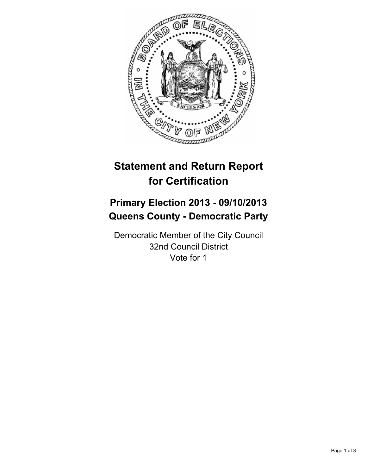

# **Statement and Return Report for Certification**

## **Primary Election 2013 - 09/10/2013 Queens County - Democratic Party**

Democratic Member of the City Council 32nd Council District Vote for 1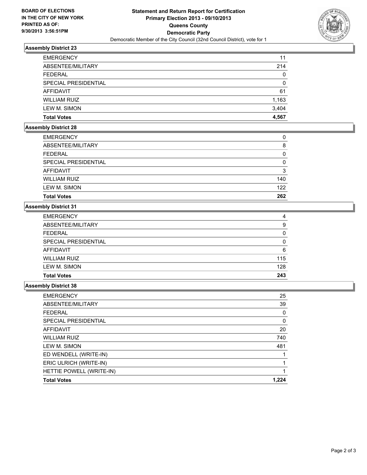

### **Assembly District 23**

| <b>EMERGENCY</b>     | 11       |
|----------------------|----------|
| ABSENTEE/MILITARY    | 214      |
| <b>FEDERAL</b>       | 0        |
| SPECIAL PRESIDENTIAL | $\Omega$ |
| AFFIDAVIT            | 61       |
| <b>WILLIAM RUIZ</b>  | 1,163    |
| LEW M. SIMON         | 3,404    |
| <b>Total Votes</b>   | 4.567    |

## **Assembly District 28**

| <b>EMERGENCY</b>     | 0   |
|----------------------|-----|
|                      |     |
| ABSENTEE/MILITARY    | 8   |
| <b>FEDERAL</b>       | 0   |
| SPECIAL PRESIDENTIAL | 0   |
| AFFIDAVIT            | 3   |
| <b>WILLIAM RUIZ</b>  | 140 |
| LEW M. SIMON         | 122 |
| <b>Total Votes</b>   | 262 |

### **Assembly District 31**

| <b>Total Votes</b>   | 243 |
|----------------------|-----|
| LEW M. SIMON         | 128 |
| <b>WILLIAM RUIZ</b>  | 115 |
| <b>AFFIDAVIT</b>     | 6   |
| SPECIAL PRESIDENTIAL | 0   |
| <b>FEDERAL</b>       | 0   |
| ABSENTEE/MILITARY    | 9   |
| <b>EMERGENCY</b>     | 4   |

#### **Assembly District 38**

| <b>EMERGENCY</b>         | 25    |
|--------------------------|-------|
| ABSENTEE/MILITARY        | 39    |
| <b>FEDERAL</b>           | 0     |
| SPECIAL PRESIDENTIAL     | 0     |
| AFFIDAVIT                | 20    |
| <b>WILLIAM RUIZ</b>      | 740   |
| LEW M. SIMON             | 481   |
| ED WENDELL (WRITE-IN)    |       |
| ERIC ULRICH (WRITE-IN)   |       |
| HETTIE POWELL (WRITE-IN) |       |
| <b>Total Votes</b>       | 1.224 |